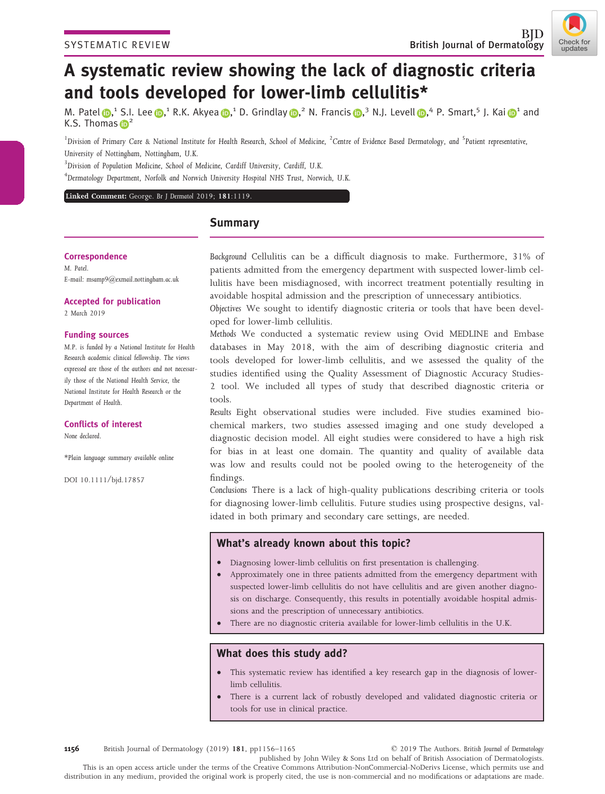

# A systematic review showing the lack of diagnostic criteria and tools developed for lower-limb cellulitis\*

M. Pat[e](https://orcid.org/0000-0002-2332-5452)l  $\oplus$ ,<sup>1</sup> S.I. Lee  $\oplus$ ,<sup>1</sup> R.K. Akyea  $\oplus$ ,<sup>1</sup> D. Grindlay  $\oplus$ ,<sup>2</sup> N. Francis  $\oplus$ ,<sup>3</sup> N.J. Levell  $\oplus$ ,<sup>4</sup> P. Smart,<sup>5</sup> J. Kai  $\oplus$ <sup>1</sup> and K.S. Tho[m](https://orcid.org/0000-0003-3975-4689)a[s](https://orcid.org/0000-0001-7785-7465)  $\mathbb{D}^2$ 

 $^1$ Division of Primary Care & National Institute for Health Research, School of Medicine,  $^2$ Centre of Evidence Based Dermatology, and  $^5$ Patient representative, University of Nottingham, Nottingham, U.K.

<sup>3</sup>Division of Population Medicine, School of Medicine, Cardiff University, Cardiff, U.K.

4 Dermatology Department, Norfolk and Norwich University Hospital NHS Trust, Norwich, U.K.

# Linked Comment: George. [Br J Dermatol](https://doi.org/10.1111/bjd.18317) 2019; 181:1119.

# Summary

## **Correspondence**

M. Patel. E-mail: [msamp9@exmail.nottingham.ac.uk](mailto:)

#### Accepted for publication

2 March 2019

### Funding sources

M.P. is funded by a National Institute for Health Research academic clinical fellowship. The views expressed are those of the authors and not necessarily those of the National Health Service, the National Institute for Health Research or the Department of Health.

### Conflicts of interest

None declared.

\*Plain language summary available online

DOI 10.1111/bjd.17857

Background Cellulitis can be a difficult diagnosis to make. Furthermore, 31% of patients admitted from the emergency department with suspected lower-limb cellulitis have been misdiagnosed, with incorrect treatment potentially resulting in avoidable hospital admission and the prescription of unnecessary antibiotics.

Objectives We sought to identify diagnostic criteria or tools that have been developed for lower-limb cellulitis.

Methods We conducted a systematic review using Ovid MEDLINE and Embase databases in May 2018, with the aim of describing diagnostic criteria and tools developed for lower-limb cellulitis, and we assessed the quality of the studies identified using the Quality Assessment of Diagnostic Accuracy Studies-2 tool. We included all types of study that described diagnostic criteria or tools.

Results Eight observational studies were included. Five studies examined biochemical markers, two studies assessed imaging and one study developed a diagnostic decision model. All eight studies were considered to have a high risk for bias in at least one domain. The quantity and quality of available data was low and results could not be pooled owing to the heterogeneity of the findings.

Conclusions There is a lack of high-quality publications describing criteria or tools for diagnosing lower-limb cellulitis. Future studies using prospective designs, validated in both primary and secondary care settings, are needed.

# What's already known about this topic?

- Diagnosing lower-limb cellulitis on first presentation is challenging.
- Approximately one in three patients admitted from the emergency department with suspected lower-limb cellulitis do not have cellulitis and are given another diagnosis on discharge. Consequently, this results in potentially avoidable hospital admissions and the prescription of unnecessary antibiotics.
- There are no diagnostic criteria available for lower-limb cellulitis in the U.K.

# What does this study add?

- This systematic review has identified a key research gap in the diagnosis of lowerlimb cellulitis.
- There is a current lack of robustly developed and validated diagnostic criteria or tools for use in clinical practice.

1156 British Journal of Dermatology (2019) 181, pp1156–1165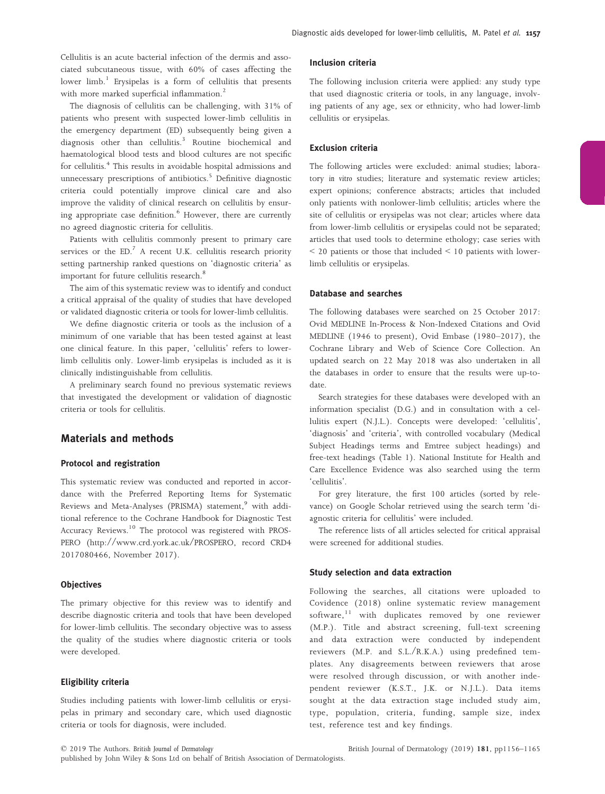Cellulitis is an acute bacterial infection of the dermis and associated subcutaneous tissue, with 60% of cases affecting the lower  $limb<sup>1</sup>$  Erysipelas is a form of cellulitis that presents with more marked superficial inflammation.<sup>2</sup>

The diagnosis of cellulitis can be challenging, with 31% of patients who present with suspected lower-limb cellulitis in the emergency department (ED) subsequently being given a diagnosis other than cellulitis.<sup>3</sup> Routine biochemical and haematological blood tests and blood cultures are not specific for cellulitis.<sup>4</sup> This results in avoidable hospital admissions and unnecessary prescriptions of antibiotics.<sup>5</sup> Definitive diagnostic criteria could potentially improve clinical care and also improve the validity of clinical research on cellulitis by ensuring appropriate case definition.<sup>6</sup> However, there are currently no agreed diagnostic criteria for cellulitis.

Patients with cellulitis commonly present to primary care services or the  $ED<sup>7</sup>$  A recent U.K. cellulitis research priority setting partnership ranked questions on 'diagnostic criteria' as important for future cellulitis research.<sup>8</sup>

The aim of this systematic review was to identify and conduct a critical appraisal of the quality of studies that have developed or validated diagnostic criteria or tools for lower-limb cellulitis.

We define diagnostic criteria or tools as the inclusion of a minimum of one variable that has been tested against at least one clinical feature. In this paper, 'cellulitis' refers to lowerlimb cellulitis only. Lower-limb erysipelas is included as it is clinically indistinguishable from cellulitis.

A preliminary search found no previous systematic reviews that investigated the development or validation of diagnostic criteria or tools for cellulitis.

# Materials and methods

### Protocol and registration

This systematic review was conducted and reported in accordance with the Preferred Reporting Items for Systematic Reviews and Meta-Analyses (PRISMA) statement,<sup>9</sup> with additional reference to the Cochrane Handbook for Diagnostic Test Accuracy Reviews.<sup>10</sup> The protocol was registered with PROS-PERO [\(http://www.crd.york.ac.uk/PROSPERO,](http://www.crd.york.ac.uk/PROSPERO) record CRD4 2017080466, November 2017).

#### **Objectives**

The primary objective for this review was to identify and describe diagnostic criteria and tools that have been developed for lower-limb cellulitis. The secondary objective was to assess the quality of the studies where diagnostic criteria or tools were developed.

#### Eligibility criteria

Studies including patients with lower-limb cellulitis or erysipelas in primary and secondary care, which used diagnostic criteria or tools for diagnosis, were included.

#### Inclusion criteria

The following inclusion criteria were applied: any study type that used diagnostic criteria or tools, in any language, involving patients of any age, sex or ethnicity, who had lower-limb cellulitis or erysipelas.

#### Exclusion criteria

The following articles were excluded: animal studies; laboratory in vitro studies; literature and systematic review articles; expert opinions; conference abstracts; articles that included only patients with nonlower-limb cellulitis; articles where the site of cellulitis or erysipelas was not clear; articles where data from lower-limb cellulitis or erysipelas could not be separated; articles that used tools to determine ethology; case series with  $<$  20 patients or those that included  $<$  10 patients with lowerlimb cellulitis or erysipelas.

#### Database and searches

The following databases were searched on 25 October 2017: Ovid MEDLINE In-Process & Non-Indexed Citations and Ovid MEDLINE (1946 to present), Ovid Embase (1980–2017), the Cochrane Library and Web of Science Core Collection. An updated search on 22 May 2018 was also undertaken in all the databases in order to ensure that the results were up-todate.

Search strategies for these databases were developed with an information specialist (D.G.) and in consultation with a cellulitis expert (N.J.L.). Concepts were developed: 'cellulitis', 'diagnosis' and 'criteria', with controlled vocabulary (Medical Subject Headings terms and Emtree subject headings) and free-text headings (Table 1). National Institute for Health and Care Excellence Evidence was also searched using the term 'cellulitis'.

For grey literature, the first 100 articles (sorted by relevance) on Google Scholar retrieved using the search term 'diagnostic criteria for cellulitis' were included.

The reference lists of all articles selected for critical appraisal were screened for additional studies.

#### Study selection and data extraction

Following the searches, all citations were uploaded to Covidence (2018) online systematic review management software, $11$  with duplicates removed by one reviewer (M.P.). Title and abstract screening, full-text screening and data extraction were conducted by independent reviewers (M.P. and S.L./R.K.A.) using predefined templates. Any disagreements between reviewers that arose were resolved through discussion, or with another independent reviewer (K.S.T., J.K. or N.J.L.). Data items sought at the data extraction stage included study aim, type, population, criteria, funding, sample size, index test, reference test and key findings.

published by John Wiley & Sons Ltd on behalf of British Association of Dermatologists.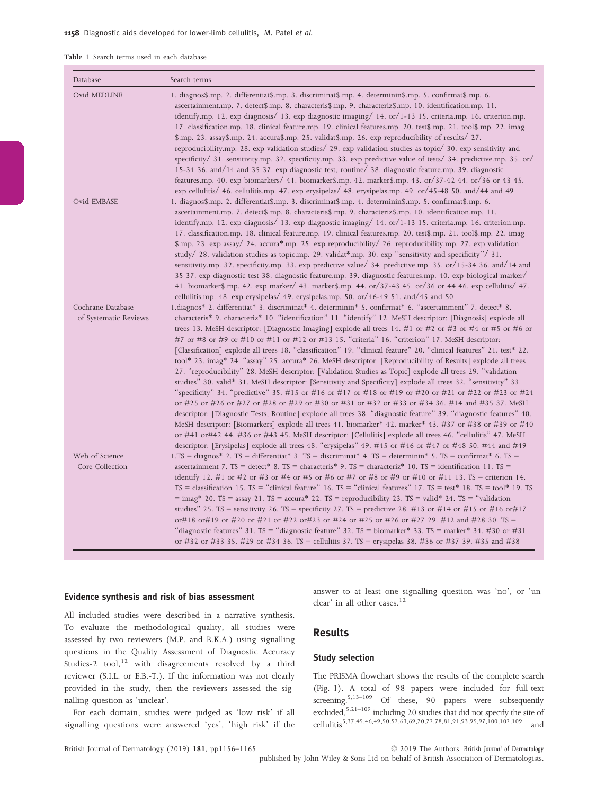|  |  |  | Table 1 Search terms used in each database |
|--|--|--|--------------------------------------------|
|  |  |  |                                            |

| Database                                   | Search terms                                                                                                                                                                                                                                                                                                                                                                                                                                                                                                                                                                                                                                                                                                                                                                                                                                                                                                                                                                                                                                                                                                                                                                                                                                                                                                                                                                                                                                                            |
|--------------------------------------------|-------------------------------------------------------------------------------------------------------------------------------------------------------------------------------------------------------------------------------------------------------------------------------------------------------------------------------------------------------------------------------------------------------------------------------------------------------------------------------------------------------------------------------------------------------------------------------------------------------------------------------------------------------------------------------------------------------------------------------------------------------------------------------------------------------------------------------------------------------------------------------------------------------------------------------------------------------------------------------------------------------------------------------------------------------------------------------------------------------------------------------------------------------------------------------------------------------------------------------------------------------------------------------------------------------------------------------------------------------------------------------------------------------------------------------------------------------------------------|
| Ovid MEDLINE                               | 1. diagnos\$.mp. 2. differentiat\$.mp. 3. discriminat\$.mp. 4. determinin\$.mp. 5. confirmat\$.mp. 6.<br>ascertainment.mp. 7. detect\$.mp. 8. characteris\$.mp. 9. characteriz\$.mp. 10. identification.mp. 11.<br>identify.mp. 12. exp diagnosis/ 13. exp diagnostic imaging/ 14. or/1-13 15. criteria.mp. 16. criterion.mp.<br>17. classification.mp. 18. clinical feature.mp. 19. clinical features.mp. 20. test\$.mp. 21. tool\$.mp. 22. imag<br>\$.mp. 23. assay\$.mp. 24. accura\$.mp. 25. validat\$.mp. 26. exp reproducibility of results/ 27.<br>reproducibility.mp. 28. exp validation studies/ 29. exp validation studies as topic/ 30. exp sensitivity and<br>specificity/ 31. sensitivity.mp. 32. specificity.mp. 33. exp predictive value of tests/ 34. predictive.mp. 35. or/<br>15-34 36. and/14 and 35 37. exp diagnostic test, routine/ 38. diagnostic feature.mp. 39. diagnostic<br>.43 features.mp. 40. exp biomarkers/ 41. biomarker\$.mp. 42. marker\$.mp. 43. or/37-42 44. or/36 or 43<br>exp cellulitis/ 46. cellulitis.mp. 47. exp erysipelas/ 48. erysipelas.mp. 49. or/45-48 50. and/44 and 49                                                                                                                                                                                                                                                                                                                                               |
| Ovid EMBASE                                | d. diagnos\$.mp. 2. differentiat\$.mp. 3. discriminat\$.mp. 4. determinin\$.mp. 5. confirmat\$.mp. 6.<br>ascertainment.mp. 7. detect\$.mp. 8. characteris\$.mp. 9. characteriz\$.mp. 10. identification.mp. 11.<br>identify.mp. 12. exp diagnosis/ 13. exp diagnostic imaging/ 14. or/1-13 15. criteria.mp. 16. criterion.mp.<br>17. classification.mp. 18. clinical feature.mp. 19. clinical features.mp. 20. test\$.mp. 21. tool\$.mp. 22. imag<br>\$.mp. 23. exp assay/ 24. accura*.mp. 25. exp reproducibility/ 26. reproducibility.mp. 27. exp validation<br>study $\frac{1}{28}$ . validation studies as topic.mp. 29. validat*.mp. 30. exp "sensitivity and specificity" 31.<br>sensitivity.mp. 32. specificity.mp. 33. exp predictive value/ 34. predictive.mp. 35. or/15-34 36. and/14 and<br>35 37. exp diagnostic test 38. diagnostic feature.mp. 39. diagnostic features.mp. 40. exp biological marker/<br>41. biomarker\$.mp. 42. exp marker/ 43. marker\$.mp. 44. or/37-43 45. or/36 or 44 46. exp cellulitis/ 47.<br>cellulitis.mp. 48. exp erysipelas/ 49. erysipelas.mp. 50. or/46-49 51. and/45 and 50                                                                                                                                                                                                                                                                                                                                                |
| Cochrane Database<br>of Systematic Reviews | 1.diagnos* 2. differentiat* 3. discriminat* 4. determinin* 5. confirmat* 6. "ascertainment" 7. detect* 8.<br>characteris* 9. characteriz* 10. "identification" 11. "identify" 12. MeSH descriptor: [Diagnosis] explode all<br>trees 13. MeSH descriptor: [Diagnostic Imaging] explode all trees 14. #1 or #2 or #3 or #4 or #5 or #6 or<br>#7 or #8 or #9 or #10 or #11 or #12 or #13 15. "criteria" 16. "criterion" 17. MeSH descriptor:<br>[Classification] explode all trees 18. "classification" 19. "clinical feature" 20. "clinical features" 21. test* 22.<br>tool* 23. imag* 24. "assay" 25. accura* 26. MeSH descriptor: [Reproducibility of Results] explode all trees<br>27. "reproducibility" 28. MeSH descriptor: [Validation Studies as Topic] explode all trees 29. "validation<br>studies" 30. valid* 31. MeSH descriptor: [Sensitivity and Specificity] explode all trees 32. "sensitivity" 33.<br>"specificity" 34. "predictive" 35. #15 or #16 or #17 or #18 or #19 or #20 or #21 or #22 or #23 or #24<br>or #25 or #26 or #27 or #28 or #29 or #30 or #31 or #32 or #33 or #34 36. #14 and #35 37. MeSH<br>descriptor: [Diagnostic Tests, Routine] explode all trees 38. "diagnostic feature" 39. "diagnostic features" 40.<br>MeSH descriptor: [Biomarkers] explode all trees 41. biomarker* 42. marker* 43. #37 or #38 or #39 or #40<br>or #41 or#42 44. #36 or #43 45. MeSH descriptor: [Cellulitis] explode all trees 46. "cellulitis" 47. MeSH |
| Web of Science<br>Core Collection          | descriptor: [Erysipelas] explode all trees 48. "erysipelas" 49. #45 or #46 or #47 or #48 50. #44 and #49<br>$1.$ TS = diagnos* 2. TS = differentiat* 3. TS = discriminat* 4. TS = determinin* 5. TS = confirmat* 6. TS =<br>ascertainment 7. TS = detect* 8. TS = characteris* 9. TS = characteriz* 10. TS = identification 11. TS =<br>identify 12. #1 or #2 or #3 or #4 or #5 or #6 or #7 or #8 or #9 or #10 or #11 13. TS = criterion 14.<br>TS = classification 15. TS = "clinical feature" 16. TS = "clinical features" 17. TS = test* 18. TS = tool* 19. TS<br>$=$ imag* 20. TS = assay 21. TS = accura* 22. TS = reproducibility 23. TS = valid* 24. TS = "validation"<br>studies" 25. TS = sensitivity 26. TS = specificity 27. TS = predictive 28. #13 or #14 or #15 or #16 or#17<br>or#18 or#19 or #20 or #21 or #22 or#23 or #24 or #25 or #26 or #27 29. #12 and #28 30. TS =<br>"diagnostic features" 31. TS = "diagnostic feature" 32. TS = biomarker* 33. TS = marker* 34. #30 or #31<br>or #32 or #33 35. #29 or #34 36. TS = cellulitis 37. TS = erysipelas 38. #36 or #37 39. #35 and #38                                                                                                                                                                                                                                                                                                                                                             |

#### Evidence synthesis and risk of bias assessment

All included studies were described in a narrative synthesis. To evaluate the methodological quality, all studies were assessed by two reviewers (M.P. and R.K.A.) using signalling questions in the Quality Assessment of Diagnostic Accuracy Studies-2 tool,<sup>12</sup> with disagreements resolved by a third reviewer (S.I.L. or E.B.-T.). If the information was not clearly provided in the study, then the reviewers assessed the signalling question as 'unclear'.

For each domain, studies were judged as 'low risk' if all signalling questions were answered 'yes', 'high risk' if the answer to at least one signalling question was 'no', or 'unclear' in all other cases.<sup>12</sup>

## Results

#### Study selection

The PRISMA flowchart shows the results of the complete search (Fig. 1). A total of 98 papers were included for full-text screening. $5,13-109$  Of these, 90 papers were subsequently excluded,5,21–<sup>109</sup> including 20 studies that did not specify the site of character, there are the state of the set of cellulities<sup>5,37,45,46,49,50,52,63,69,70,72,78,81,91,93,95,97,100,102,109</sup> and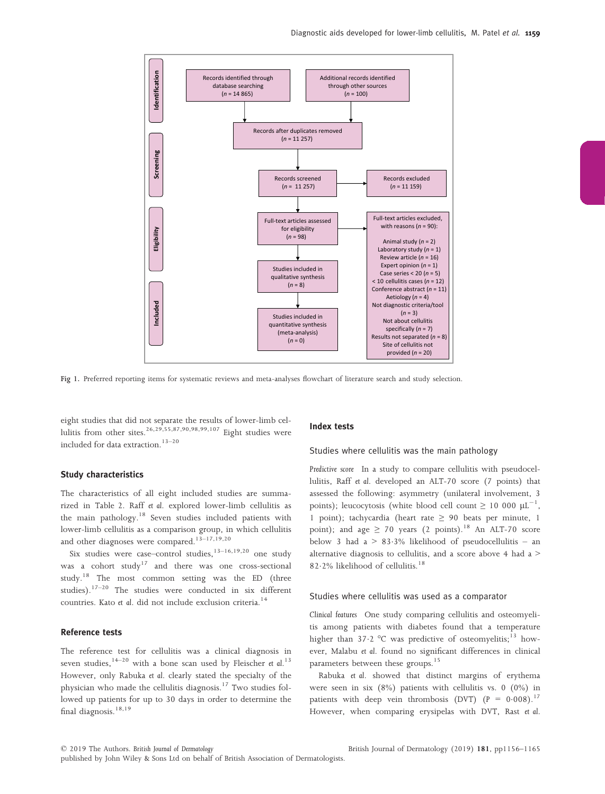

Fig 1. Preferred reporting items for systematic reviews and meta-analyses flowchart of literature search and study selection.

eight studies that did not separate the results of lower-limb cellulitis from other sites.<sup>26,29,55,87,90,98,99,107</sup> Eight studies were included for data extraction. $13-20$ 

## Study characteristics

The characteristics of all eight included studies are summarized in Table 2. Raff et al. explored lower-limb cellulitis as the main pathology.18 Seven studies included patients with lower-limb cellulitis as a comparison group, in which cellulitis and other diagnoses were compared.<sup>13-17,19,20</sup>

Six studies were case–control studies, $13-16,19,20$  one study was a cohort  $study<sup>17</sup>$  and there was one cross-sectional study.<sup>18</sup> The most common setting was the ED (three studies).<sup>17–20</sup> The studies were conducted in six different countries. Kato et al. did not include exclusion criteria.<sup>14</sup>

## Reference tests

The reference test for cellulitis was a clinical diagnosis in seven studies,  $14-20$  with a bone scan used by Fleischer et al.<sup>13</sup> However, only Rabuka et al. clearly stated the specialty of the physician who made the cellulitis diagnosis.<sup>17</sup> Two studies followed up patients for up to 30 days in order to determine the final diagnosis.<sup>18,19</sup>

#### Index tests

#### Studies where cellulitis was the main pathology

Predictive score In a study to compare cellulitis with pseudocellulitis, Raff et al. developed an ALT-70 score (7 points) that assessed the following: asymmetry (unilateral involvement, 3 points); leucocytosis (white blood cell count  $\geq 10\;000\;\mu\text{L}^{-1}$ , 1 point); tachycardia (heart rate  $\geq$  90 beats per minute, 1 point); and age  $\geq$  70 years (2 points).<sup>18</sup> An ALT-70 score below 3 had a  $> 83.3\%$  likelihood of pseudocellulitis – an alternative diagnosis to cellulitis, and a score above 4 had a > 82.2% likelihood of cellulitis.<sup>18</sup>

#### Studies where cellulitis was used as a comparator

Clinical features One study comparing cellulitis and osteomyelitis among patients with diabetes found that a temperature higher than  $37.2 \text{ °C}$  was predictive of osteomyelitis;<sup>13</sup> however, Malabu et al. found no significant differences in clinical parameters between these groups.<sup>15</sup>

Rabuka et al. showed that distinct margins of erythema were seen in six (8%) patients with cellulitis vs. 0 (0%) in patients with deep vein thrombosis (DVT)  $(P = 0.008)^{17}$ However, when comparing erysipelas with DVT, Rast et al.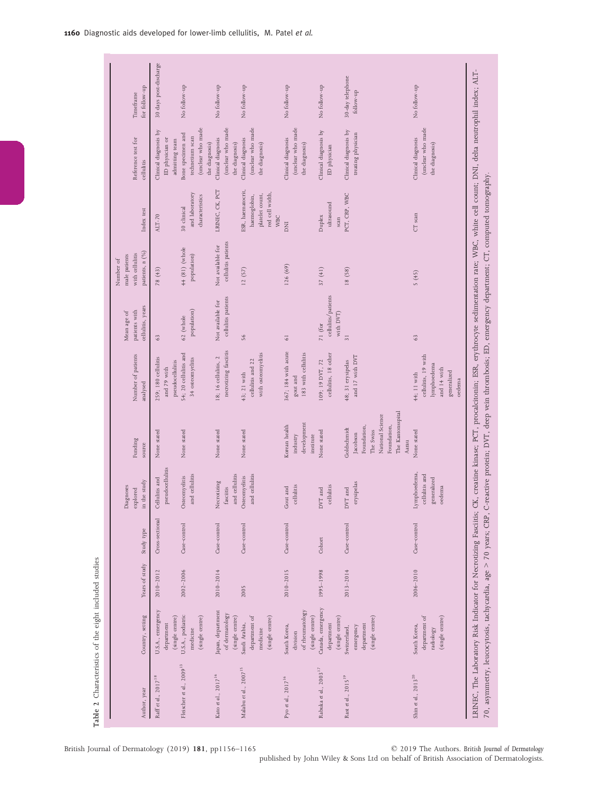| Author, year                         | Country, setting                                               | Years of study | Study type      | in the study<br>Diagnoses<br>explored                   | Funding<br>source                                                                                                    | Number of patients<br>analysed                                                            | cellulitis, years<br>patients with<br>Mean age of | patients, n (%)<br>with cellulitis<br>male patients<br>Number of | Index test                                                                            | Reference test for<br>cellulitis                                            | for follow-up<br>Timeframe    |
|--------------------------------------|----------------------------------------------------------------|----------------|-----------------|---------------------------------------------------------|----------------------------------------------------------------------------------------------------------------------|-------------------------------------------------------------------------------------------|---------------------------------------------------|------------------------------------------------------------------|---------------------------------------------------------------------------------------|-----------------------------------------------------------------------------|-------------------------------|
| Raff et al., 2017 <sup>18</sup>      | U.S.A., emergency<br>(single centre)<br>department             | $2010 - 2012$  | Cross-sectional | pseudocellulitis<br>Cellulitis and                      | None stated                                                                                                          | 259; 180 cellulitis<br>pseudocellulitis<br>and 79 with                                    | 63                                                | 78 (43)                                                          | $AT-70$                                                                               | Clinical diagnosis by<br>ED physician or<br>admitting team                  | 30 days post-discharge        |
| Fleischer et al., 2009 <sup>13</sup> | U.S.A., podiatric<br>(single centre)<br>medicine               | $2002 - 2006$  | Case-control    | and cellulitis<br>Osteomyelitis                         | None stated                                                                                                          | 54; 20 cellulitis and<br>34 osteomyelitis                                                 | population)<br>62 (whole                          | 44 (81) (whole<br>population)                                    | and laboratory<br>characteristics<br>30 clinical                                      | (unclear who made<br>Bone specimen and<br>technetium scan<br>the diagnosis) | No follow-up                  |
| Kato et al., 2017 <sup>14</sup>      | Japan, department<br>of dermatology<br>(single centre)         | $2010 - 2014$  | Case-control    | and cellulitis<br>Necrotizing<br>fasciitis              | None stated                                                                                                          | necrotizing fasciitis<br>18; 16 cellulitis, 2                                             | cellulitis patients<br>Not available for          | cellulitis patients<br>Not available for                         | IRINEC, CK, PCT                                                                       | (unclear who made<br>Clinical diagnosis<br>the diagnosis)                   | No follow-up                  |
| Malabu et al., $2007^{15}$           | department of<br>(single centre)<br>Saudi Arabia,<br>medicine  | 2005           | Case-control    | and cellulitis<br>Osteomyelitis                         | None stated                                                                                                          | with osteomyelitis<br>cellulitis and 22<br>43; 21 with                                    | 56                                                | 12(57)                                                           | ESR, haematocrit,<br>red cell width,<br>platelet count,<br>haemoglobin,<br><b>WBC</b> | (unclear who made<br>Clinical diagnosis<br>the diagnosis)                   | No follow-up                  |
| Pyo et al., 2017 <sup>16</sup>       | of rheumatology<br>(single centre)<br>South Korea,<br>division | 2010-2015      | Case-control    | cellulitis<br>Gout and                                  | development<br>Korean health<br>industry<br>institute                                                                | 367; 184 with acute<br>183 with cellulitis<br>gout and                                    | $\sqrt{6}$                                        | 126(69)                                                          | <b>DNI</b>                                                                            | (unclear who made<br>Clinical diagnosis<br>the diagnosis)                   | No follow-up                  |
| Rabuka et al., 2003 <sup>17</sup>    | Canada, emergency<br>(single centre)<br>department             | 1995-1998      | Cohort          | cellulitis<br>DVT and                                   | None stated                                                                                                          | cellulitis, 18 other<br>109; 19 DVT, 72                                                   | cellulitis/patients<br>with DVT)<br>71 (for       | 37(41)                                                           | ultrasound<br>Duplex<br>scan                                                          | Clinical diagnosis by<br>ED physician                                       | No follow-up                  |
| Rast et al., 2015 <sup>19</sup>      | (single centre)<br>department<br>emergency<br>Switzerland,     | $2013 - 2014$  | Case-control    | erysipelas<br>DVT and                                   | The Kantonsspital<br>National Science<br>Foundation,<br>Foundation,<br>Goldschmidt<br>The Swiss<br>Jacobson<br>Aarau | and 17 with DVT<br>48; 31 erysipelas                                                      | $\overline{31}$                                   | 18(58)                                                           | PCT, CRP, WBC                                                                         | Clinical diagnosis by<br>treating physician                                 | 30-day telephone<br>follow-up |
| Shin et al., $2013^{20}$             | department of<br>(single centre)<br>South Korea,<br>radiology  | $2006 - 2010$  | Case-control    | Lymphoedema,<br>cellulitis and<br>generalized<br>oedema | None stated                                                                                                          | cellulitis, 19 with<br>lymphoedema<br>and 14 with<br>generalized<br>44; 11 with<br>oedema | 63                                                | 5 (45)                                                           | CT scan                                                                               | (unclear who made<br>Clinical diagnosis<br>the diagnosis)                   | No follow-up                  |

British Journal of Dermatology (2019) 181, pp1156–1165

Table 2 Characteristics of the eight included studies

Table 2 Characteristics of the eight included studies

© 2019 The Authors. British Journal of Dermatology

published by John Wiley & Sons Ltd on behalf of British Association of Dermatologists.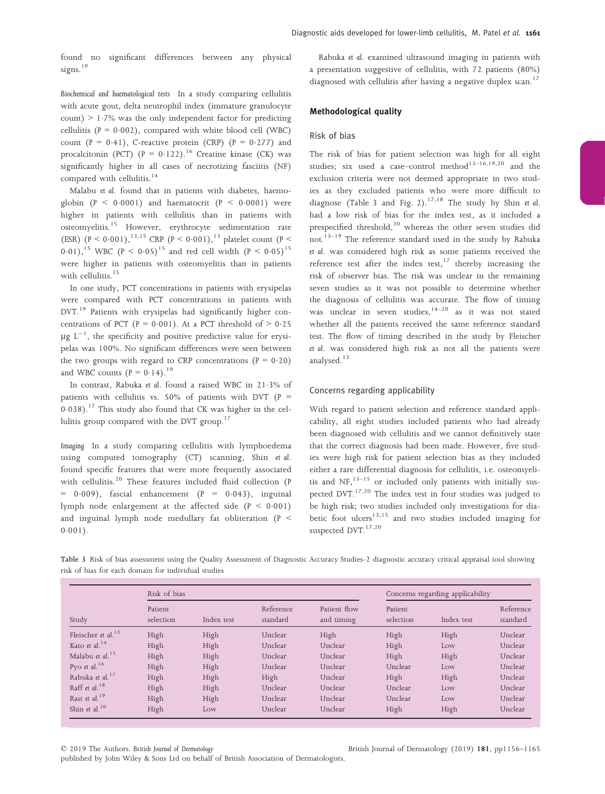found no significant differences between any physical signs. $19$ 

Biochemical and haematological tests In a study comparing cellulitis with acute gout, delta neutrophil index (immature granulocyte count)  $> 1.7\%$  was the only independent factor for predicting cellulitis ( $P = 0.002$ ), compared with white blood cell (WBC) count  $(P = 0.41)$ , C-reactive protein (CRP)  $(P = 0.277)$  and procalcitonin (PCT) (P =  $0.122$ ).<sup>16</sup> Creatine kinase (CK) was significantly higher in all cases of necrotizing fasciitis (NF) compared with cellulitis.<sup>14</sup>

Malabu et al. found that in patients with diabetes, haemoglobin  $(P < 0.0001)$  and haematocrit  $(P < 0.0001)$  were higher in patients with cellulitis than in patients with osteomyelitis.<sup>15</sup> However, erythrocyte sedimentation rate (ESR) (P < 0.001),<sup>13,15</sup> CRP (P < 0.001),<sup>13</sup> platelet count (P < 0.01),<sup>15</sup> WBC (P < 0.05)<sup>15</sup> and red cell width (P < 0.05)<sup>15</sup> were higher in patients with osteomyelitis than in patients with cellulitis.<sup>15</sup>

In one study, PCT concentrations in patients with erysipelas were compared with PCT concentrations in patients with DVT.<sup>19</sup> Patients with erysipelas had significantly higher concentrations of PCT ( $P = 0.001$ ). At a PCT threshold of  $> 0.25$  $\mu$ g L<sup>-1</sup>, the specificity and positive predictive value for erysipelas was 100%. No significant differences were seen between the two groups with regard to CRP concentrations  $(P = 0.20)$ and WBC counts  $(P = 0.14).^{19}$ 

In contrast, Rabuka et al. found a raised WBC in 213% of patients with cellulitis vs. 50% of patients with DVT ( $P =$  $0.038$ ).<sup>17</sup> This study also found that CK was higher in the cellulitis group compared with the DVT group.<sup>17</sup>

Imaging In a study comparing cellulitis with lymphoedema using computed tomography (CT) scanning, Shin et al. found specific features that were more frequently associated with cellulitis.<sup>20</sup> These features included fluid collection (P  $= 0.009$ ), fascial enhancement (P = 0.043), inguinal lymph node enlargement at the affected side  $(P \le 0.001)$ and inguinal lymph node medullary fat obliteration (P <  $0.001$ ).

Rabuka et al. examined ultrasound imaging in patients with a presentation suggestive of cellulitis, with 72 patients (80%) diagnosed with cellulitis after having a negative duplex scan.<sup>17</sup>

## Methodological quality

#### Risk of bias

The risk of bias for patient selection was high for all eight studies; six used a case–control method<sup>13–16,19,20</sup> and the exclusion criteria were not deemed appropriate in two studies as they excluded patients who were more difficult to diagnose (Table 3 and Fig. 2).<sup>17,18</sup> The study by Shin et al. had a low risk of bias for the index test, as it included a prespecified threshold,<sup>20</sup> whereas the other seven studies did not.<sup>13–19</sup> The reference standard used in the study by Rabuka et al. was considered high risk as some patients received the reference test after the index test, $17$  thereby increasing the risk of observer bias. The risk was unclear in the remaining seven studies as it was not possible to determine whether the diagnosis of cellulitis was accurate. The flow of timing was unclear in seven studies, $14-20$  as it was not stated whether all the patients received the same reference standard test. The flow of timing described in the study by Fleischer et al. was considered high risk as not all the patients were analysed.<sup>13</sup>

## Concerns regarding applicability

With regard to patient selection and reference standard applicability, all eight studies included patients who had already been diagnosed with cellulitis and we cannot definitively state that the correct diagnosis had been made. However, five studies were high risk for patient selection bias as they included either a rare differential diagnosis for cellulitis, i.e. osteomyelitis and  $NF<sub>1</sub><sup>13–15</sup>$  or included only patients with initially suspected DVT.<sup>17,20</sup> The index test in four studies was judged to be high risk; two studies included only investigations for diabetic foot ulcers $13,15$  and two studies included imaging for suspected DVT.<sup>17,20</sup>

| Table 3 Risk of bias assessment using the Quality Assessment of Diagnostic Accuracy Studies-2 diagnostic accuracy critical appraisal tool showing |  |  |
|---------------------------------------------------------------------------------------------------------------------------------------------------|--|--|
| risk of bias for each domain for individual studies                                                                                               |  |  |

|                             | Risk of bias         |            |                       | Concerns regarding applicability |                      |            |                       |
|-----------------------------|----------------------|------------|-----------------------|----------------------------------|----------------------|------------|-----------------------|
| Study                       | Patient<br>selection | Index test | Reference<br>standard | Patient flow<br>and timing       | Patient<br>selection | Index test | Reference<br>standard |
| Fleischer et al. $13$       | High                 | High       | Unclear               | High                             | High                 | High       | Unclear               |
| Kato et al. $14$            | High                 | High       | Unclear               | Unclear                          | High                 | Low        | Unclear               |
| Malabu et al. <sup>15</sup> | High                 | High       | Unclear               | Unclear                          | High                 | High       | Unclear               |
| Pyo et al. $16$             | High                 | High       | Unclear               | Unclear                          | Unclear              | Low        | Unclear               |
| Rabuka et al. <sup>17</sup> | High                 | High       | High                  | Unclear                          | High                 | High       | Unclear               |
| Raff et al. <sup>18</sup>   | High                 | High       | Unclear               | Unclear                          | Unclear              | Low        | Unclear               |
| Rast et al. <sup>19</sup>   | High                 | High       | Unclear               | Unclear                          | Unclear              | Low        | Unclear               |
| Shin et al. $20$            | High                 | Low        | Unclear               | Unclear                          | High                 | High       | Unclear               |

© 2019 The Authors. British Journal of Dermatology

published by John Wiley & Sons Ltd on behalf of British Association of Dermatologists.

British Journal of Dermatology (2019) 181, pp1156–1165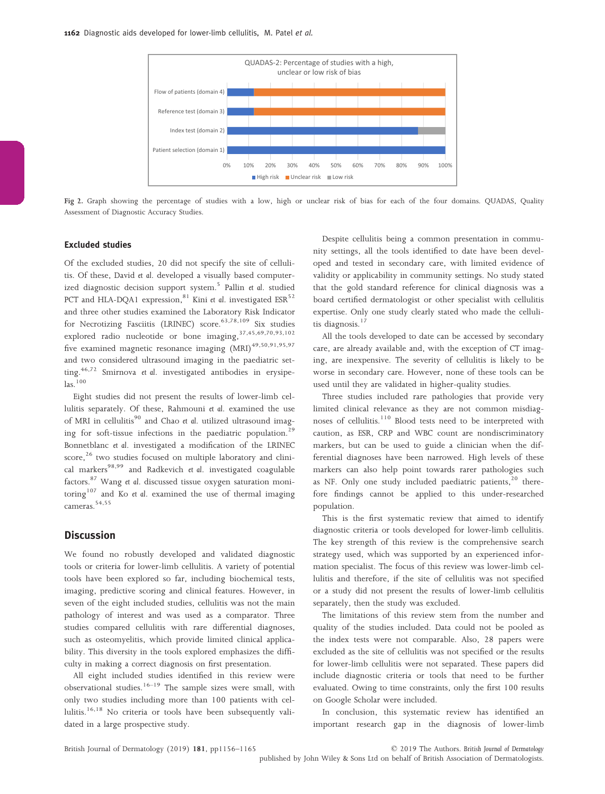

Fig 2. Graph showing the percentage of studies with a low, high or unclear risk of bias for each of the four domains. QUADAS, Quality Assessment of Diagnostic Accuracy Studies.

## Excluded studies

Of the excluded studies, 20 did not specify the site of cellulitis. Of these, David et al. developed a visually based computerized diagnostic decision support system.<sup>5</sup> Pallin et al. studied PCT and HLA-DQA1 expression,<sup>81</sup> Kini et al. investigated  $ESR<sup>52</sup>$ and three other studies examined the Laboratory Risk Indicator for Necrotizing Fasciitis (LRINEC) score.<sup>63,78,109</sup> Six studies explored radio nucleotide or bone imaging, 37,45,69,70,93,102 five examined magnetic resonance imaging  $(MRI)^{49,50,91,95,97}$ and two considered ultrasound imaging in the paediatric setting.<sup>46,72</sup> Smirnova et al. investigated antibodies in erysipelas.<sup>100</sup>

Eight studies did not present the results of lower-limb cellulitis separately. Of these, Rahmouni et al. examined the use of MRI in cellulitis<sup>90</sup> and Chao et al. utilized ultrasound imaging for soft-tissue infections in the paediatric population.<sup>29</sup> Bonnetblanc et al. investigated a modification of the LRINEC score, $26$  two studies focused on multiple laboratory and clinical markers<sup>98,99</sup> and Radkevich et al. investigated coagulable factors.<sup>87</sup> Wang et al. discussed tissue oxygen saturation monitoring<sup>107</sup> and Ko et al. examined the use of thermal imaging cameras.<sup>54,55</sup>

# **Discussion**

We found no robustly developed and validated diagnostic tools or criteria for lower-limb cellulitis. A variety of potential tools have been explored so far, including biochemical tests, imaging, predictive scoring and clinical features. However, in seven of the eight included studies, cellulitis was not the main pathology of interest and was used as a comparator. Three studies compared cellulitis with rare differential diagnoses, such as osteomyelitis, which provide limited clinical applicability. This diversity in the tools explored emphasizes the difficulty in making a correct diagnosis on first presentation.

All eight included studies identified in this review were observational studies.<sup>16–19</sup> The sample sizes were small, with only two studies including more than 100 patients with cellulitis.<sup>16,18</sup> No criteria or tools have been subsequently validated in a large prospective study.

Despite cellulitis being a common presentation in community settings, all the tools identified to date have been developed and tested in secondary care, with limited evidence of validity or applicability in community settings. No study stated that the gold standard reference for clinical diagnosis was a board certified dermatologist or other specialist with cellulitis expertise. Only one study clearly stated who made the cellulitis diagnosis.<sup>17</sup>

All the tools developed to date can be accessed by secondary care, are already available and, with the exception of CT imaging, are inexpensive. The severity of cellulitis is likely to be worse in secondary care. However, none of these tools can be used until they are validated in higher-quality studies.

Three studies included rare pathologies that provide very limited clinical relevance as they are not common misdiagnoses of cellulitis. $110$  Blood tests need to be interpreted with caution, as ESR, CRP and WBC count are nondiscriminatory markers, but can be used to guide a clinician when the differential diagnoses have been narrowed. High levels of these markers can also help point towards rarer pathologies such as NF. Only one study included paediatric patients, $20$  therefore findings cannot be applied to this under-researched population.

This is the first systematic review that aimed to identify diagnostic criteria or tools developed for lower-limb cellulitis. The key strength of this review is the comprehensive search strategy used, which was supported by an experienced information specialist. The focus of this review was lower-limb cellulitis and therefore, if the site of cellulitis was not specified or a study did not present the results of lower-limb cellulitis separately, then the study was excluded.

The limitations of this review stem from the number and quality of the studies included. Data could not be pooled as the index tests were not comparable. Also, 28 papers were excluded as the site of cellulitis was not specified or the results for lower-limb cellulitis were not separated. These papers did include diagnostic criteria or tools that need to be further evaluated. Owing to time constraints, only the first 100 results on Google Scholar were included.

In conclusion, this systematic review has identified an important research gap in the diagnosis of lower-limb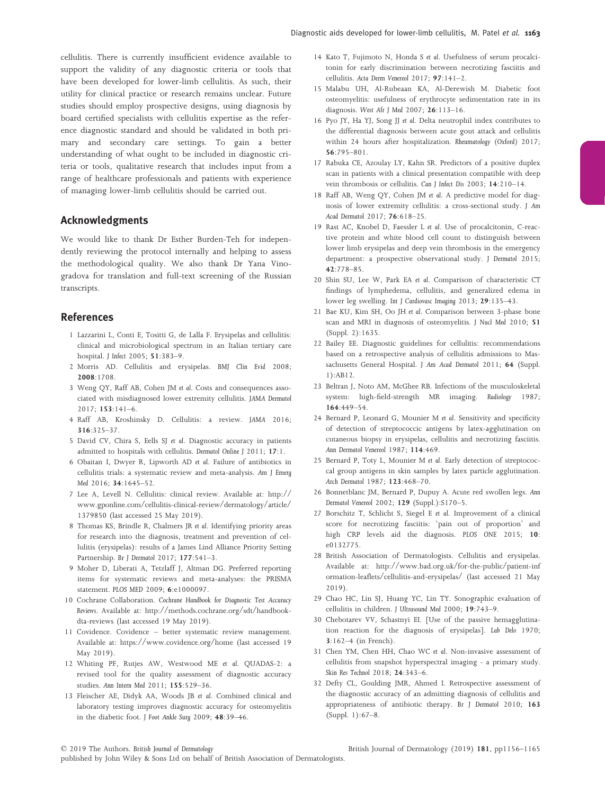cellulitis. There is currently insufficient evidence available to support the validity of any diagnostic criteria or tools that have been developed for lower-limb cellulitis. As such, their utility for clinical practice or research remains unclear. Future studies should employ prospective designs, using diagnosis by board certified specialists with cellulitis expertise as the reference diagnostic standard and should be validated in both primary and secondary care settings. To gain a better understanding of what ought to be included in diagnostic criteria or tools, qualitative research that includes input from a range of healthcare professionals and patients with experience of managing lower-limb cellulitis should be carried out.

# Acknowledgments

We would like to thank Dr Esther Burden-Teh for independently reviewing the protocol internally and helping to assess the methodological quality. We also thank Dr Yana Vinogradova for translation and full-text screening of the Russian transcripts.

## References

- 1 Lazzarini L, Conti E, Tositti G, de Lalla F. Erysipelas and cellulitis: clinical and microbiological spectrum in an Italian tertiary care hospital. J Infect 2005; 51:383–9.
- 2 Morris AD. Cellulitis and erysipelas. BMJ Clin Evid 2008; 2008:1708.
- 3 Weng QY, Raff AB, Cohen JM et al. Costs and consequences associated with misdiagnosed lower extremity cellulitis. JAMA Dermatol 2017; 153:141–6.
- 4 Raff AB, Kroshinsky D. Cellulitis: a review. JAMA 2016; 316:325–37.
- 5 David CV, Chira S, Eells SJ et al. Diagnostic accuracy in patients admitted to hospitals with cellulitis. Dermatol Online J 2011; 17:1.
- 6 Obaitan I, Dwyer R, Lipworth AD et al. Failure of antibiotics in cellulitis trials: a systematic review and meta-analysis. Am J Emerg Med 2016; 34:1645–52.
- 7 Lee A, Levell N. Cellulitis: clinical review. Available at: [http://](http://www.gponline.com/cellulitis-clinical-review/dermatology/article/1379850) [www.gponline.com/cellulitis-clinical-review/dermatology/article/](http://www.gponline.com/cellulitis-clinical-review/dermatology/article/1379850) [1379850](http://www.gponline.com/cellulitis-clinical-review/dermatology/article/1379850) (last accessed 25 May 2019).
- 8 Thomas KS, Brindle R, Chalmers JR et al. Identifying priority areas for research into the diagnosis, treatment and prevention of cellulitis (erysipelas): results of a James Lind Alliance Priority Setting Partnership. Br J Dermatol 2017; 177:541–3.
- 9 Moher D, Liberati A, Tetzlaff J, Altman DG. Preferred reporting items for systematic reviews and meta-analyses: the PRISMA statement. PLOS MED 2009; 6:e1000097.
- 10 Cochrane Collaboration. Cochrane Handbook for Diagnostic Test Accuracy Reviews. Available at: [http://methods.cochrane.org/sdt/handbook](http://methods.cochrane.org/sdt/handbook-dta-reviews)[dta-reviews](http://methods.cochrane.org/sdt/handbook-dta-reviews) (last accessed 19 May 2019).
- 11 Covidence. Covidence better systematic review management. Available at:<https://www.covidence.org/home> (last accessed 19 May 2019).
- 12 Whiting PF, Rutjes AW, Westwood ME et al. QUADAS-2: a revised tool for the quality assessment of diagnostic accuracy studies. Ann Intern Med 2011; 155:529–36.
- 13 Fleischer AE, Didyk AA, Woods JB et al. Combined clinical and laboratory testing improves diagnostic accuracy for osteomyelitis in the diabetic foot. J Foot Ankle Surg 2009; 48:39–46.
- 14 Kato T, Fujimoto N, Honda S et al. Usefulness of serum procalcitonin for early discrimination between necrotizing fasciitis and cellulitis. Acta Derm Venereol 2017; 97:141–2.
- 15 Malabu UH, Al-Rubeaan KA, Al-Derewish M. Diabetic foot osteomyelitis: usefulness of erythrocyte sedimentation rate in its diagnosis. West Afr J Med 2007; 26:113–16.
- 16 Pyo JY, Ha YJ, Song JJ et al. Delta neutrophil index contributes to the differential diagnosis between acute gout attack and cellulitis within 24 hours after hospitalization. Rheumatology (Oxford) 2017; 56:795–801.
- 17 Rabuka CE, Azoulay LY, Kahn SR. Predictors of a positive duplex scan in patients with a clinical presentation compatible with deep vein thrombosis or cellulitis. Can J Infect Dis 2003; 14:210–14.
- 18 Raff AB, Weng QY, Cohen JM et al. A predictive model for diagnosis of lower extremity cellulitis: a cross-sectional study. J Am Acad Dermatol 2017; 76:618-25.
- 19 Rast AC, Knobel D, Faessler L et al. Use of procalcitonin, C-reactive protein and white blood cell count to distinguish between lower limb erysipelas and deep vein thrombosis in the emergency department: a prospective observational study. J Dermatol 2015; 42:778–85.
- 20 Shin SU, Lee W, Park EA et al. Comparison of characteristic CT findings of lymphedema, cellulitis, and generalized edema in lower leg swelling. Int J Cardiovasc Imaging 2013; 29:135–43.
- 21 Bae KU, Kim SH, Oo JH et al. Comparison between 3-phase bone scan and MRI in diagnosis of osteomyelitis. J Nucl Med 2010; 51 (Suppl. 2):1635.
- 22 Bailey EE. Diagnostic guidelines for cellulitis: recommendations based on a retrospective analysis of cellulitis admissions to Massachusetts General Hospital. J Am Acad Dermatol 2011; 64 (Suppl. 1):AB12.
- 23 Beltran J, Noto AM, McGhee RB. Infections of the musculoskeletal system: high-field-strength MR imaging. Radiology 1987; 164:449–54.
- 24 Bernard P, Leonard G, Mounier M et al. Sensitivity and specificity of detection of streptococcic antigens by latex-agglutination on cutaneous biopsy in erysipelas, cellulitis and necrotizing fasciitis. Ann Dermatol Venereol 1987; 114:469.
- 25 Bernard P, Toty L, Mounier M et al. Early detection of streptococcal group antigens in skin samples by latex particle agglutination. Arch Dermatol 1987; 123:468–70.
- 26 Bonnetblanc JM, Bernard P, Dupuy A. Acute red swollen legs. Ann Dermatol Venereol 2002; 129 (Suppl.):S170–5.
- 27 Borschitz T, Schlicht S, Siegel E et al. Improvement of a clinical score for necrotizing fasciitis: 'pain out of proportion' and high CRP levels aid the diagnosis. PLOS ONE 2015; 10: e0132775.
- 28 British Association of Dermatologists. Cellulitis and erysipelas. Available at: [http://www.bad.org.uk/for-the-public/patient-inf](http://www.bad.org.uk/for-the-public/patient-information-leaflets/cellulitis-and-erysipelas/) [ormation-leaflets/cellulitis-and-erysipelas/](http://www.bad.org.uk/for-the-public/patient-information-leaflets/cellulitis-and-erysipelas/) (last accessed 21 May 2019).
- 29 Chao HC, Lin SJ, Huang YC, Lin TY. Sonographic evaluation of cellulitis in children. J Ultrasound Med 2000; 19:743–9.
- 30 Chebotarev VV, Schastnyi EI. [Use of the passive hemagglutination reaction for the diagnosis of erysipelas]. Lab Delo 1970; 3:162–4 (in French).
- 31 Chen YM, Chen HH, Chao WC et al. Non-invasive assessment of cellulitis from snapshot hyperspectral imaging - a primary study. Skin Res Technol 2018; 24:343–6.
- 32 Defty CL, Goulding JMR, Ahmed I. Retrospective assessment of the diagnostic accuracy of an admitting diagnosis of cellulitis and appropriateness of antibiotic therapy. Br J Dermatol 2010; 163 (Suppl. 1):67–8.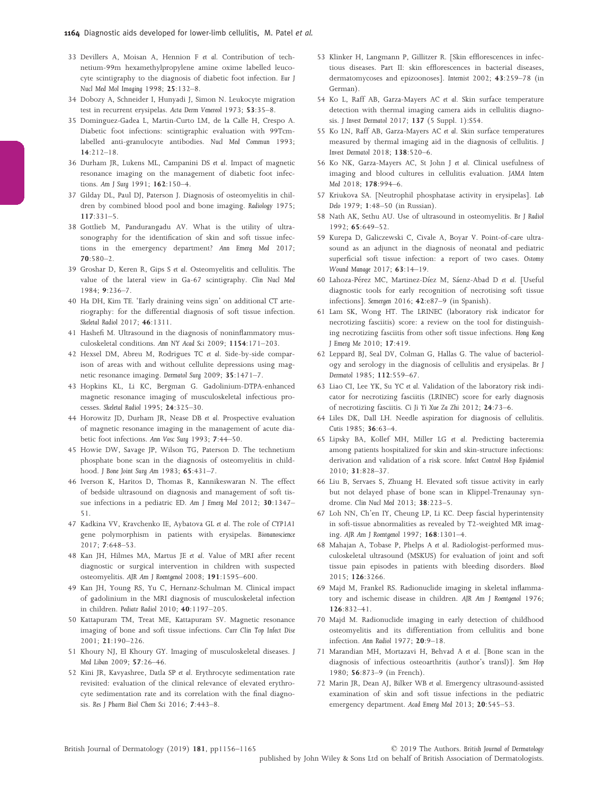- 33 Devillers A, Moisan A, Hennion F et al. Contribution of technetium-99m hexamethylpropylene amine oxime labelled leucocyte scintigraphy to the diagnosis of diabetic foot infection. Eur J Nucl Med Mol Imaging 1998; 25:132–8.
- 34 Dobozy A, Schneider I, Hunyadi J, Simon N. Leukocyte migration test in recurrent erysipelas. Acta Derm Venereol 1973; 53:35–8.
- 35 Dominguez-Gadea L, Martin-Curto LM, de la Calle H, Crespo A. Diabetic foot infections: scintigraphic evaluation with 99Tcmlabelled anti-granulocyte antibodies. Nucl Med Commun 1993; 14:212–18.
- 36 Durham JR, Lukens ML, Campanini DS et al. Impact of magnetic resonance imaging on the management of diabetic foot infections. Am J Surg 1991; 162:150–4.
- 37 Gilday DL, Paul DJ, Paterson J. Diagnosis of osteomyelitis in children by combined blood pool and bone imaging. Radiology 1975; 117:331–5.
- 38 Gottlieb M, Pandurangadu AV. What is the utility of ultrasonography for the identification of skin and soft tissue infections in the emergency department? Ann Emerg Med 2017; 70:580–2.
- 39 Groshar D, Keren R, Gips S et al. Osteomyelitis and cellulitis. The value of the lateral view in Ga-67 scintigraphy. Clin Nucl Med 1984; 9:236–7.
- 40 Ha DH, Kim TE. 'Early draining veins sign' on additional CT arteriography: for the differential diagnosis of soft tissue infection. Skeletal Radiol 2017; 46:1311.
- 41 Hashefi M. Ultrasound in the diagnosis of noninflammatory musculoskeletal conditions. Ann NY Acad Sci 2009; 1154:171–203.
- 42 Hexsel DM, Abreu M, Rodrigues TC et al. Side-by-side comparison of areas with and without cellulite depressions using magnetic resonance imaging. Dermatol Surg 2009; 35:1471–7.
- 43 Hopkins KL, Li KC, Bergman G. Gadolinium-DTPA-enhanced magnetic resonance imaging of musculoskeletal infectious processes. Skeletal Radiol 1995; 24:325–30.
- 44 Horowitz JD, Durham JR, Nease DB et al. Prospective evaluation of magnetic resonance imaging in the management of acute diabetic foot infections. Ann Vasc Surg 1993; 7:44–50.
- 45 Howie DW, Savage JP, Wilson TG, Paterson D. The technetium phosphate bone scan in the diagnosis of osteomyelitis in childhood. J Bone Joint Surg Am 1983; 65:431–7.
- 46 Iverson K, Haritos D, Thomas R, Kannikeswaran N. The effect of bedside ultrasound on diagnosis and management of soft tissue infections in a pediatric ED. Am J Emerg Med 2012; 30:1347– 51.
- 47 Kadkina VV, Kravchenko IE, Aybatova GL et al. The role of CYP1A1 gene polymorphism in patients with erysipelas. Bionanoscience 2017; 7:648–53.
- 48 Kan JH, Hilmes MA, Martus JE et al. Value of MRI after recent diagnostic or surgical intervention in children with suspected osteomyelitis. AJR Am J Roentgenol 2008; 191:1595–600.
- 49 Kan JH, Young RS, Yu C, Hernanz-Schulman M. Clinical impact of gadolinium in the MRI diagnosis of musculoskeletal infection in children. Pediatr Radiol 2010; 40:1197–205.
- 50 Kattapuram TM, Treat ME, Kattapuram SV. Magnetic resonance imaging of bone and soft tissue infections. Curr Clin Top Infect Dise 2001; 21:190–226.
- 51 Khoury NJ, El Khoury GY. Imaging of musculoskeletal diseases. J Med Liban 2009; 57:26–46.
- 52 Kini JR, Kavyashree, Datla SP et al. Erythrocyte sedimentation rate revisited: evaluation of the clinical relevance of elevated erythrocyte sedimentation rate and its correlation with the final diagnosis. Res J Pharm Biol Chem Sci 2016; 7:443–8.
- 53 Klinker H, Langmann P, Gillitzer R. [Skin efflorescences in infectious diseases. Part II: skin efflorescences in bacterial diseases, dermatomycoses and epizoonoses]. Internist 2002; 43:259–78 (in German).
- 54 Ko L, Raff AB, Garza-Mayers AC et al. Skin surface temperature detection with thermal imaging camera aids in cellulitis diagnosis. J Invest Dermatol 2017; 137 (5 Suppl. 1):S54.
- 55 Ko LN, Raff AB, Garza-Mayers AC et al. Skin surface temperatures measured by thermal imaging aid in the diagnosis of cellulitis. J Invest Dermatol 2018; 138:520–6.
- 56 Ko NK, Garza-Mayers AC, St John J et al. Clinical usefulness of imaging and blood cultures in cellulitis evaluation. JAMA Intern Med 2018; 178:994–6.
- 57 Kriukova SA. [Neutrophil phosphatase activity in erysipelas]. Lab Delo 1979; 1:48–50 (in Russian).
- 58 Nath AK, Sethu AU. Use of ultrasound in osteomyelitis. Br J Radiol  $1992 \cdot 65.649 - 52$
- 59 Kurepa D, Galiczewski C, Civale A, Boyar V. Point-of-care ultrasound as an adjunct in the diagnosis of neonatal and pediatric superficial soft tissue infection: a report of two cases. Ostomy Wound Manage 2017; 63:14–19.
- 60 Lahoza-Pérez MC, Martinez-Díez M, Sáenz-Abad D et al. [Useful diagnostic tools for early recognition of necrotising soft tissue infections]. Semergen 2016; 42:e87–9 (in Spanish).
- 61 Lam SK, Wong HT. The LRINEC (laboratory risk indicator for necrotizing fasciitis) score: a review on the tool for distinguishing necrotizing fasciitis from other soft tissue infections. Hong Kong J Emerg Me 2010; 17:419.
- 62 Leppard BJ, Seal DV, Colman G, Hallas G. The value of bacteriology and serology in the diagnosis of cellulitis and erysipelas. Br J Dermatol 1985; 112:559–67.
- 63 Liao CI, Lee YK, Su YC et al. Validation of the laboratory risk indicator for necrotizing fasciitis (LRINEC) score for early diagnosis of necrotizing fasciitis. Ci Ji Yi Xue Za Zhi 2012; 24:73–6.
- 64 Liles DK, Dall LH. Needle aspiration for diagnosis of cellulitis. Cutis 1985; 36:63–4.
- 65 Lipsky BA, Kollef MH, Miller LG et al. Predicting bacteremia among patients hospitalized for skin and skin-structure infections: derivation and validation of a risk score. Infect Control Hosp Epidemiol 2010; 31:828–37.
- 66 Liu B, Servaes S, Zhuang H. Elevated soft tissue activity in early but not delayed phase of bone scan in Klippel-Trenaunay syndrome. Clin Nucl Med 2013; 38:223–5.
- 67 Loh NN, Ch'en IY, Cheung LP, Li KC. Deep fascial hyperintensity in soft-tissue abnormalities as revealed by T2-weighted MR imaging. AJR Am J Roentgenol 1997; 168:1301–4.
- 68 Mahajan A, Tobase P, Phelps A et al. Radiologist-performed musculoskeletal ultrasound (MSKUS) for evaluation of joint and soft tissue pain episodes in patients with bleeding disorders. Blood 2015; 126:3266.
- 69 Majd M, Frankel RS. Radionuclide imaging in skeletal inflammatory and ischemic disease in children. AJR Am J Roentgenol 1976; 126:832–41.
- 70 Majd M. Radionuclide imaging in early detection of childhood osteomyelitis and its differentiation from cellulitis and bone infection. Ann Radiol 1977; 20:9–18.
- 71 Marandian MH, Mortazavi H, Behvad A et al. [Bone scan in the diagnosis of infectious osteoarthritis (author's transl)]. Sem Hop 1980; 56:873–9 (in French).
- 72 Marin JR, Dean AJ, Bilker WB et al. Emergency ultrasound-assisted examination of skin and soft tissue infections in the pediatric emergency department. Acad Emerg Med 2013; 20:545–53.